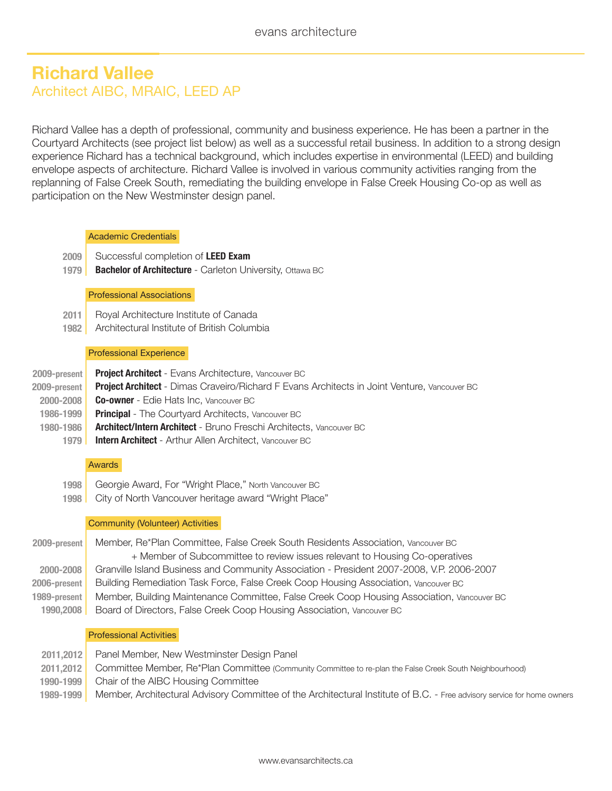# **Richard Vallee** Architect AIBC, MRAIC, LEED AP

Richard Vallee has a depth of professional, community and business experience. He has been a partner in the Courtyard Architects (see project list below) as well as a successful retail business. In addition to a strong design experience Richard has a technical background, which includes expertise in environmental (LEED) and building envelope aspects of architecture. Richard Vallee is involved in various community activities ranging from the replanning of False Creek South, remediating the building envelope in False Creek Housing Co-op as well as participation on the New Westminster design panel.

## Academic Credentials

- **2009** | Successful completion of **LEED Exam**
- **1979** | **Bachelor of Architecture** - Carleton University, Ottawa BC

## Professional Associations

- **2011** | Royal Architecture Institute of Canada
- **1982** | Architectural Institute of British Columbia

## Professional Experience

- **2009-present** | **Project Architect** - Evans Architecture, Vancouver BC
- **2009-present** | **Project Architect** - Dimas Craveiro/Richard F Evans Architects in Joint Venture, Vancouver BC
	- **2000-2008** | **Co-owner** - Edie Hats Inc, Vancouver BC
	- **1986-1999** | **Principal** - The Courtvard Architects, Vancouver BC
	- **1980-1986** | **Architect/Intern Architect** - Bruno Freschi Architects, Vancouver BC
		- **1979** | **Intern Architect** - Arthur Allen Architect, Vancouver BC

## Awards

- **1998** | Georgie Award, For "Wright Place," North Vancouver BC
- **1998** | City of North Vancouver heritage award "Wright Place"

## Community (Volunteer) Activities

| 2009-present | Member, Re*Plan Committee, False Creek South Residents Association, Vancouver BC           |
|--------------|--------------------------------------------------------------------------------------------|
|              | + Member of Subcommittee to review issues relevant to Housing Co-operatives                |
| 2000-2008    | Granville Island Business and Community Association - President 2007-2008, V.P. 2006-2007  |
| 2006-present | Building Remediation Task Force, False Creek Coop Housing Association, Vancouver BC        |
| 1989-present | Member, Building Maintenance Committee, False Creek Coop Housing Association, Vancouver BC |
| 1990,2008    | Board of Directors, False Creek Coop Housing Association, Vancouver BC                     |
|              |                                                                                            |

## Professional Activities

**2011,2012** | **2011,2012** | **1990-1999** | **1989-1999** | Panel Member, New Westminster Design Panel Committee Member, Re\*Plan Committee (Community Committee to re-plan the False Creek South Neighbourhood) Chair of the AIBC Housing Committee Member, Architectural Advisory Committee of the Architectural Institute of B.C. - Free advisory service for home owners